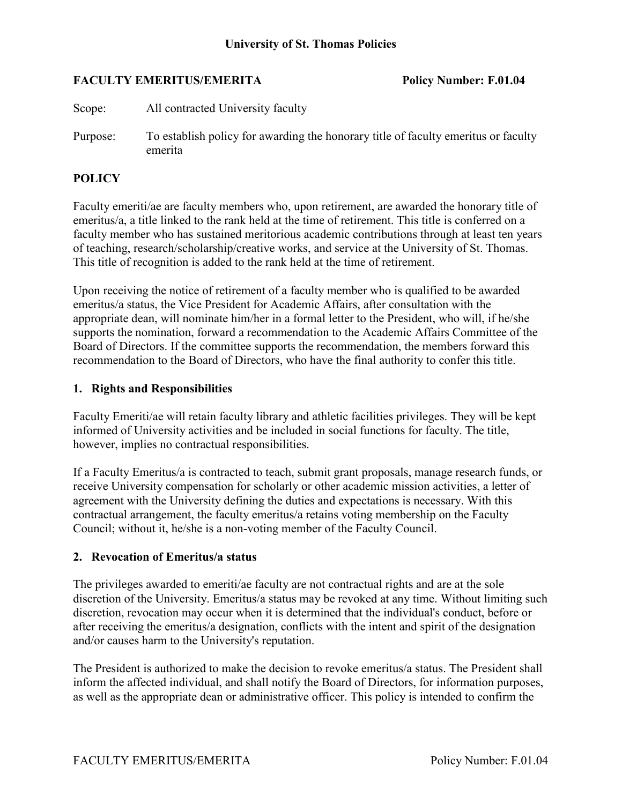## **FACULTY EMERITUS/EMERITA** Policy Number: F.01.04

Scope: All contracted University faculty

Purpose: To establish policy for awarding the honorary title of faculty emeritus or faculty emerita

# **POLICY**

Faculty emeriti/ae are faculty members who, upon retirement, are awarded the honorary title of emeritus/a, a title linked to the rank held at the time of retirement. This title is conferred on a faculty member who has sustained meritorious academic contributions through at least ten years of teaching, research/scholarship/creative works, and service at the University of St. Thomas. This title of recognition is added to the rank held at the time of retirement.

Upon receiving the notice of retirement of a faculty member who is qualified to be awarded emeritus/a status, the Vice President for Academic Affairs, after consultation with the appropriate dean, will nominate him/her in a formal letter to the President, who will, if he/she supports the nomination, forward a recommendation to the Academic Affairs Committee of the Board of Directors. If the committee supports the recommendation, the members forward this recommendation to the Board of Directors, who have the final authority to confer this title.

#### **1. Rights and Responsibilities**

Faculty Emeriti/ae will retain faculty library and athletic facilities privileges. They will be kept informed of University activities and be included in social functions for faculty. The title, however, implies no contractual responsibilities.

If a Faculty Emeritus/a is contracted to teach, submit grant proposals, manage research funds, or receive University compensation for scholarly or other academic mission activities, a letter of agreement with the University defining the duties and expectations is necessary. With this contractual arrangement, the faculty emeritus/a retains voting membership on the Faculty Council; without it, he/she is a non-voting member of the Faculty Council.

## **2. Revocation of Emeritus/a status**

The privileges awarded to emeriti/ae faculty are not contractual rights and are at the sole discretion of the University. Emeritus/a status may be revoked at any time. Without limiting such discretion, revocation may occur when it is determined that the individual's conduct, before or after receiving the emeritus/a designation, conflicts with the intent and spirit of the designation and/or causes harm to the University's reputation.

The President is authorized to make the decision to revoke emeritus/a status. The President shall inform the affected individual, and shall notify the Board of Directors, for information purposes, as well as the appropriate dean or administrative officer. This policy is intended to confirm the